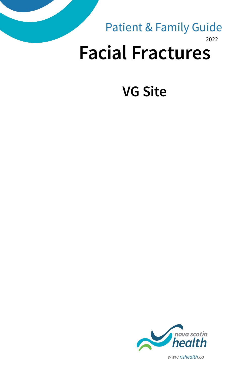## 2022 **Facial Fractures** Patient & Family Guide

# **VG Site**



*www.nshealth.ca*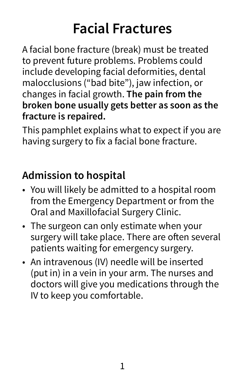# **Facial Fractures**

A facial bone fracture (break) must be treated to prevent future problems. Problems could include developing facial deformities, dental malocclusions ("bad bite"), jaw infection, or changes in facial growth. **The pain from the broken bone usually gets better as soon as the fracture is repaired.**

This pamphlet explains what to expect if you are having surgery to fix a facial bone fracture.

## **Admission to hospital**

- You will likely be admitted to a hospital room from the Emergency Department or from the Oral and Maxillofacial Surgery Clinic.
- The surgeon can only estimate when your surgery will take place. There are often several patients waiting for emergency surgery.
- An intravenous (IV) needle will be inserted (put in) in a vein in your arm. The nurses and doctors will give you medications through the IV to keep you comfortable.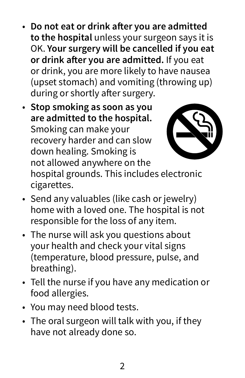- **Do not eat or drink after you are admitted to the hospital** unless your surgeon says it is OK. **Your surgery will be cancelled if you eat or drink after you are admitted.** If you eat or drink, you are more likely to have nausea (upset stomach) and vomiting (throwing up) during or shortly after surgery.
- **Stop smoking as soon as you are admitted to the hospital.** Smoking can make your recovery harder and can slow down healing. Smoking is not allowed anywhere on the hospital grounds. This includes electronic cigarettes.



- Send any valuables (like cash or jewelry) home with a loved one. The hospital is not responsible for the loss of any item.
- The nurse will ask you questions about your health and check your vital signs (temperature, blood pressure, pulse, and breathing).
- Tell the nurse if you have any medication or food allergies.
- You may need blood tests.
- The oral surgeon will talk with you, if they have not already done so.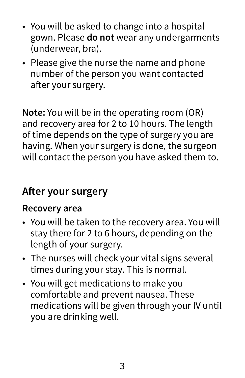- You will be asked to change into a hospital gown. Please **do not** wear any undergarments (underwear, bra).
- Please give the nurse the name and phone number of the person you want contacted after your surgery.

**Note:** You will be in the operating room (OR) and recovery area for 2 to 10 hours. The length of time depends on the type of surgery you are having. When your surgery is done, the surgeon will contact the person you have asked them to.

## **After your surgery**

#### **Recovery area**

- You will be taken to the recovery area. You will stay there for 2 to 6 hours, depending on the length of your surgery.
- The nurses will check your vital signs several times during your stay. This is normal.
- You will get medications to make you comfortable and prevent nausea. These medications will be given through your IV until you are drinking well.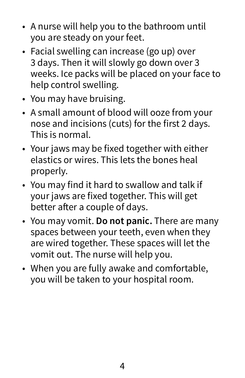- A nurse will help you to the bathroom until you are steady on your feet.
- Facial swelling can increase (go up) over 3 days. Then it will slowly go down over 3 weeks. Ice packs will be placed on your face to help control swelling.
- You may have bruising.
- A small amount of blood will ooze from your nose and incisions (cuts) for the first 2 days. This is normal.
- Your jaws may be fixed together with either elastics or wires. This lets the bones heal properly.
- You may find it hard to swallow and talk if your jaws are fixed together. This will get better after a couple of days.
- You may vomit. **Do not panic.** There are many spaces between your teeth, even when they are wired together. These spaces will let the vomit out. The nurse will help you.
- When you are fully awake and comfortable, you will be taken to your hospital room.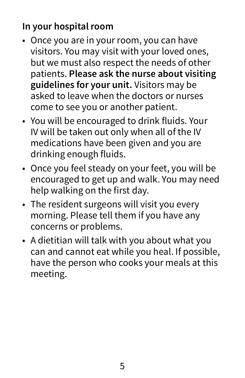## **In your hospital room**

- Once you are in your room, you can have visitors. You may visit with your loved ones, but we must also respect the needs of other patients. **Please ask the nurse about visiting guidelines for your unit.** Visitors may be asked to leave when the doctors or nurses come to see you or another patient.
- You will be encouraged to drink fluids. Your IV will be taken out only when all of the IV medications have been given and you are drinking enough fluids.
- Once you feel steady on your feet, you will be encouraged to get up and walk. You may need help walking on the first day.
- The resident surgeons will visit you every morning. Please tell them if you have any concerns or problems.
- A dietitian will talk with you about what you can and cannot eat while you heal. If possible, have the person who cooks your meals at this meeting.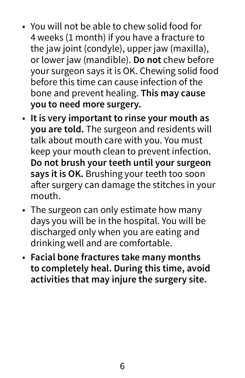- You will not be able to chew solid food for 4 weeks (1 month) if you have a fracture to the jaw joint (condyle), upper jaw (maxilla), or lower jaw (mandible). **Do not** chew before your surgeon says it is OK. Chewing solid food before this time can cause infection of the bone and prevent healing. **This may cause you to need more surgery.**
- **It is very important to rinse your mouth as you are told.** The surgeon and residents will talk about mouth care with you. You must keep your mouth clean to prevent infection. **Do not brush your teeth until your surgeon says it is OK.** Brushing your teeth too soon after surgery can damage the stitches in your mouth.
- The surgeon can only estimate how many days you will be in the hospital. You will be discharged only when you are eating and drinking well and are comfortable.
- **Facial bone fractures take many months to completely heal. During this time, avoid activities that may injure the surgery site.**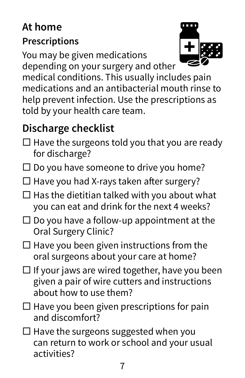## **At home Prescriptions**

You may be given medications

depending on your surgery and other



medical conditions. This usually includes pain medications and an antibacterial mouth rinse to help prevent infection. Use the prescriptions as told by your health care team.

## **Discharge checklist**

- $\Box$  Have the surgeons told you that you are ready for discharge?
- $\square$  Do you have someone to drive you home?
- $\Box$  Have you had X-rays taken after surgery?
- $\square$  Has the dietitian talked with you about what you can eat and drink for the next 4 weeks?
- $\square$  Do you have a follow-up appointment at the Oral Surgery Clinic?
- $\Box$  Have you been given instructions from the oral surgeons about your care at home?
- $\Box$  If your jaws are wired together, have you been given a pair of wire cutters and instructions about how to use them?
- $\Box$  Have you been given prescriptions for pain and discomfort?
- $\Box$  Have the surgeons suggested when you can return to work or school and your usual activities?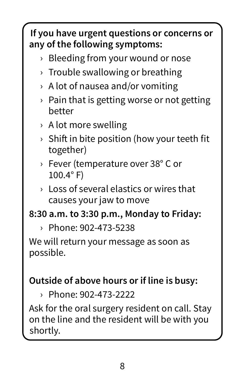## **If you have urgent questions or concerns or any of the following symptoms:**

- › Bleeding from your wound or nose
- $\rightarrow$  Trouble swallowing or breathing
- $\rightarrow$  A lot of nausea and/or vomiting
- $\rightarrow$  Pain that is getting worse or not getting better
- › A lot more swelling
- $\rightarrow$  Shift in bite position (how your teeth fit together)
- › Fever (temperature over 38° C or 100.4° F)
- $\rightarrow$  Loss of several elastics or wires that causes your jaw to move

#### **8:30 a.m. to 3:30 p.m., Monday to Friday:**

› Phone: 902-473-5238

We will return your message as soon as possible.

### **Outside of above hours or if line is busy:**

› Phone: 902-473-2222

Ask for the oral surgery resident on call. Stay on the line and the resident will be with you shortly.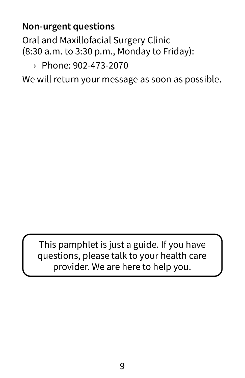### **Non-urgent questions**

Oral and Maxillofacial Surgery Clinic (8:30 a.m. to 3:30 p.m., Monday to Friday):

#### › Phone: 902-473-2070

We will return your message as soon as possible.

This pamphlet is just a guide. If you have questions, please talk to your health care provider. We are here to help you.